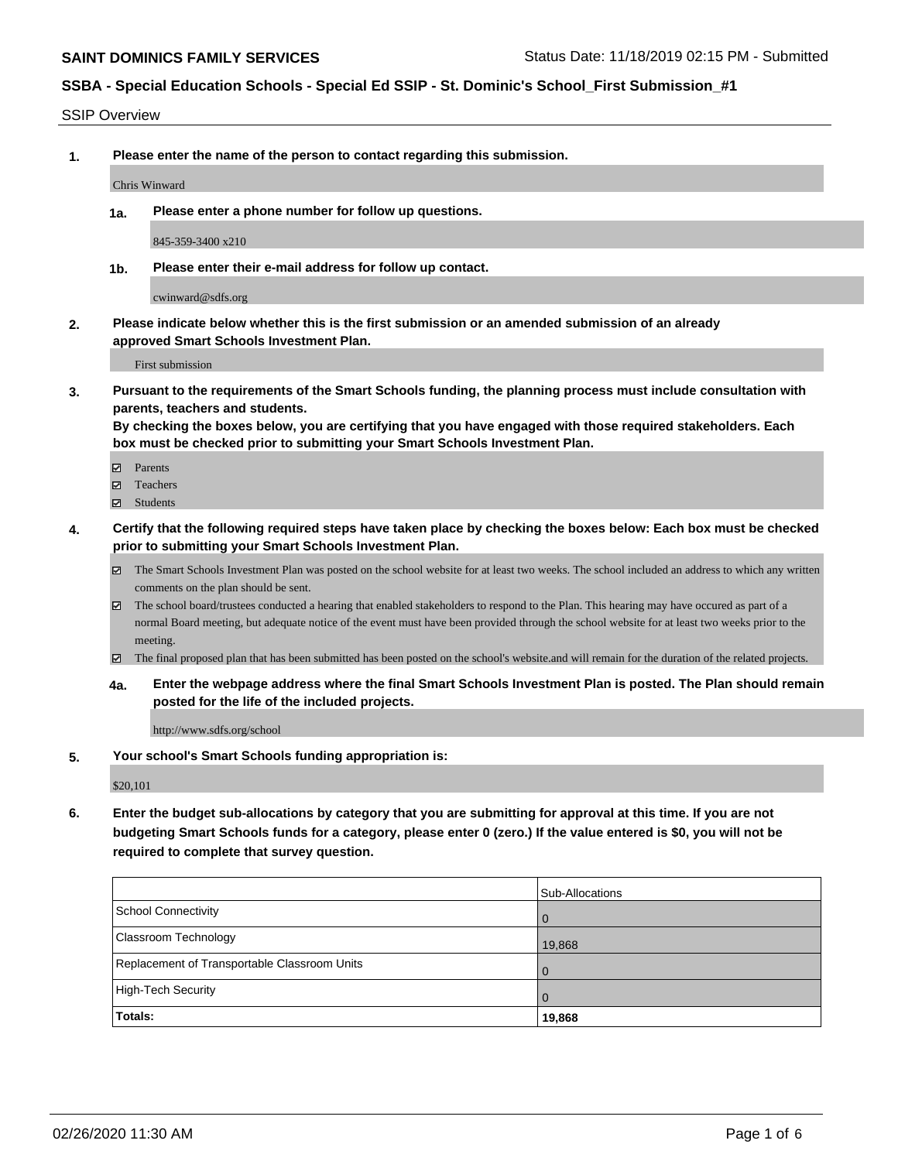SSIP Overview

**1. Please enter the name of the person to contact regarding this submission.**

Chris Winward

**1a. Please enter a phone number for follow up questions.**

845-359-3400 x210

**1b. Please enter their e-mail address for follow up contact.**

cwinward@sdfs.org

**2. Please indicate below whether this is the first submission or an amended submission of an already approved Smart Schools Investment Plan.**

First submission

**3. Pursuant to the requirements of the Smart Schools funding, the planning process must include consultation with parents, teachers and students.**

**By checking the boxes below, you are certifying that you have engaged with those required stakeholders. Each box must be checked prior to submitting your Smart Schools Investment Plan.**

- Parents
- Teachers
- Students
- **4. Certify that the following required steps have taken place by checking the boxes below: Each box must be checked prior to submitting your Smart Schools Investment Plan.**
	- The Smart Schools Investment Plan was posted on the school website for at least two weeks. The school included an address to which any written comments on the plan should be sent.
	- The school board/trustees conducted a hearing that enabled stakeholders to respond to the Plan. This hearing may have occured as part of a normal Board meeting, but adequate notice of the event must have been provided through the school website for at least two weeks prior to the meeting.
	- The final proposed plan that has been submitted has been posted on the school's website.and will remain for the duration of the related projects.
	- **4a. Enter the webpage address where the final Smart Schools Investment Plan is posted. The Plan should remain posted for the life of the included projects.**

http://www.sdfs.org/school

**5. Your school's Smart Schools funding appropriation is:**

\$20,101

**6. Enter the budget sub-allocations by category that you are submitting for approval at this time. If you are not budgeting Smart Schools funds for a category, please enter 0 (zero.) If the value entered is \$0, you will not be required to complete that survey question.**

|                                              | Sub-Allocations |
|----------------------------------------------|-----------------|
| School Connectivity                          | l 0             |
| Classroom Technology                         | 19,868          |
| Replacement of Transportable Classroom Units | l 0             |
| High-Tech Security                           | $\overline{0}$  |
| Totals:                                      | 19,868          |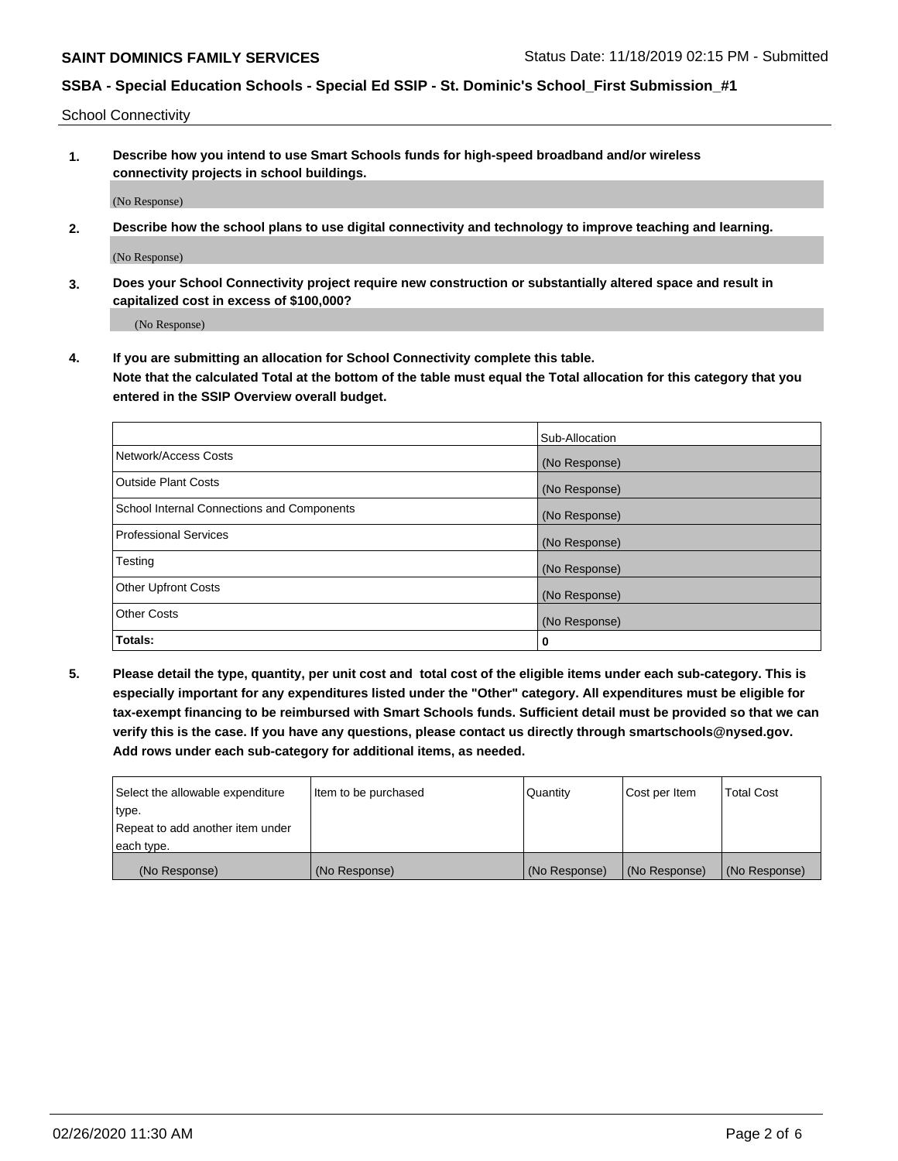School Connectivity

**1. Describe how you intend to use Smart Schools funds for high-speed broadband and/or wireless connectivity projects in school buildings.**

(No Response)

**2. Describe how the school plans to use digital connectivity and technology to improve teaching and learning.**

(No Response)

**3. Does your School Connectivity project require new construction or substantially altered space and result in capitalized cost in excess of \$100,000?**

(No Response)

**4. If you are submitting an allocation for School Connectivity complete this table. Note that the calculated Total at the bottom of the table must equal the Total allocation for this category that you entered in the SSIP Overview overall budget.** 

|                                            | Sub-Allocation |
|--------------------------------------------|----------------|
| Network/Access Costs                       | (No Response)  |
| Outside Plant Costs                        | (No Response)  |
| School Internal Connections and Components | (No Response)  |
| <b>Professional Services</b>               | (No Response)  |
| Testing                                    | (No Response)  |
| Other Upfront Costs                        | (No Response)  |
| <b>Other Costs</b>                         | (No Response)  |
| Totals:                                    | 0              |

**5. Please detail the type, quantity, per unit cost and total cost of the eligible items under each sub-category. This is especially important for any expenditures listed under the "Other" category. All expenditures must be eligible for tax-exempt financing to be reimbursed with Smart Schools funds. Sufficient detail must be provided so that we can verify this is the case. If you have any questions, please contact us directly through smartschools@nysed.gov. Add rows under each sub-category for additional items, as needed.**

| each type.<br>(No Response)      | (No Response)          | (No Response) | (No Response) | (No Response)     |
|----------------------------------|------------------------|---------------|---------------|-------------------|
|                                  |                        |               |               |                   |
| Repeat to add another item under |                        |               |               |                   |
| ∣type.                           |                        |               |               |                   |
| Select the allowable expenditure | I Item to be purchased | Quantity      | Cost per Item | <b>Total Cost</b> |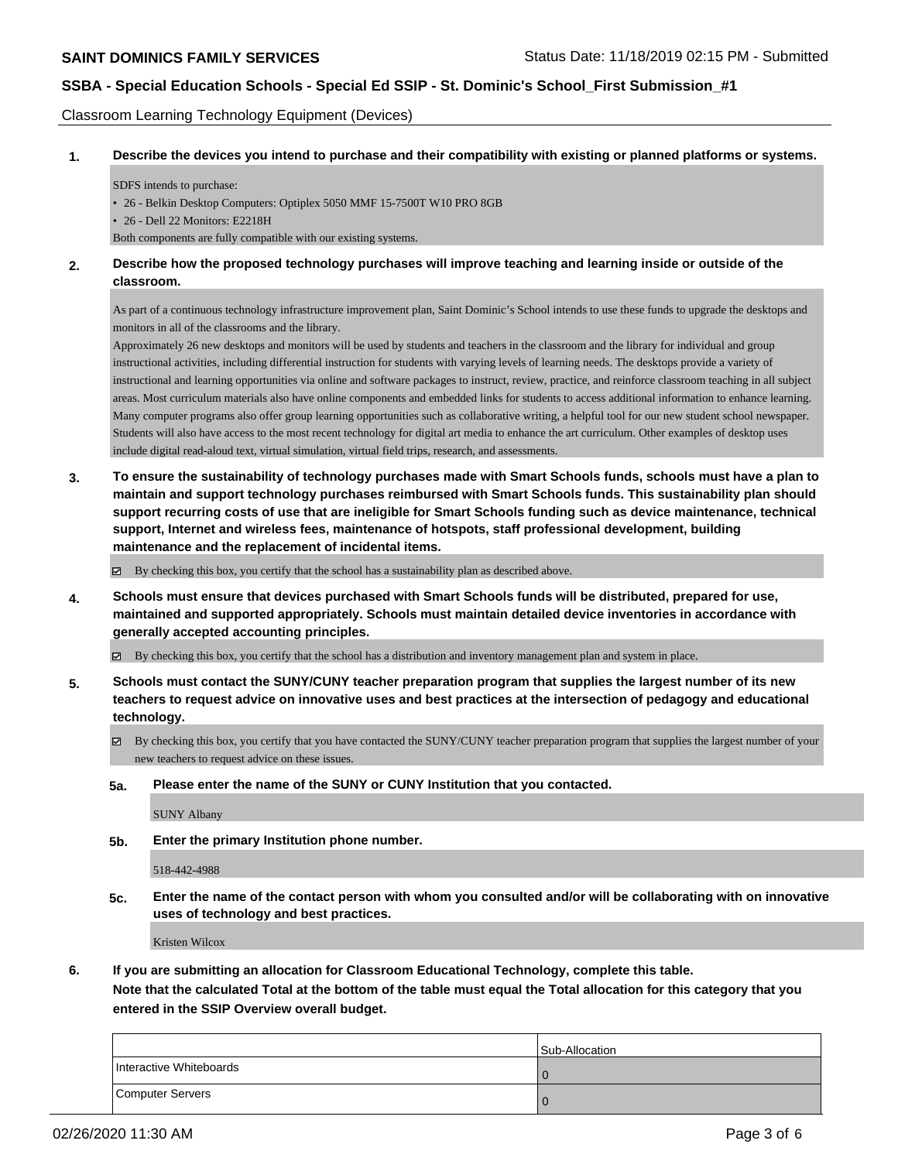Classroom Learning Technology Equipment (Devices)

**1. Describe the devices you intend to purchase and their compatibility with existing or planned platforms or systems.**

SDFS intends to purchase:

• 26 - Belkin Desktop Computers: Optiplex 5050 MMF 15-7500T W10 PRO 8GB

• 26 - Dell 22 Monitors: E2218H

Both components are fully compatible with our existing systems.

#### **2. Describe how the proposed technology purchases will improve teaching and learning inside or outside of the classroom.**

As part of a continuous technology infrastructure improvement plan, Saint Dominic's School intends to use these funds to upgrade the desktops and monitors in all of the classrooms and the library.

Approximately 26 new desktops and monitors will be used by students and teachers in the classroom and the library for individual and group instructional activities, including differential instruction for students with varying levels of learning needs. The desktops provide a variety of instructional and learning opportunities via online and software packages to instruct, review, practice, and reinforce classroom teaching in all subject areas. Most curriculum materials also have online components and embedded links for students to access additional information to enhance learning. Many computer programs also offer group learning opportunities such as collaborative writing, a helpful tool for our new student school newspaper. Students will also have access to the most recent technology for digital art media to enhance the art curriculum. Other examples of desktop uses include digital read-aloud text, virtual simulation, virtual field trips, research, and assessments.

**3. To ensure the sustainability of technology purchases made with Smart Schools funds, schools must have a plan to maintain and support technology purchases reimbursed with Smart Schools funds. This sustainability plan should support recurring costs of use that are ineligible for Smart Schools funding such as device maintenance, technical support, Internet and wireless fees, maintenance of hotspots, staff professional development, building maintenance and the replacement of incidental items.**

By checking this box, you certify that the school has a sustainability plan as described above.

**4. Schools must ensure that devices purchased with Smart Schools funds will be distributed, prepared for use, maintained and supported appropriately. Schools must maintain detailed device inventories in accordance with generally accepted accounting principles.**

By checking this box, you certify that the school has a distribution and inventory management plan and system in place.

- **5. Schools must contact the SUNY/CUNY teacher preparation program that supplies the largest number of its new teachers to request advice on innovative uses and best practices at the intersection of pedagogy and educational technology.**
	- By checking this box, you certify that you have contacted the SUNY/CUNY teacher preparation program that supplies the largest number of your new teachers to request advice on these issues.
	- **5a. Please enter the name of the SUNY or CUNY Institution that you contacted.**

SUNY Albany

**5b. Enter the primary Institution phone number.**

518-442-4988

**5c. Enter the name of the contact person with whom you consulted and/or will be collaborating with on innovative uses of technology and best practices.**

Kristen Wilcox

**6. If you are submitting an allocation for Classroom Educational Technology, complete this table.**

**Note that the calculated Total at the bottom of the table must equal the Total allocation for this category that you entered in the SSIP Overview overall budget.**

|                         | Sub-Allocation |
|-------------------------|----------------|
| Interactive Whiteboards | l O            |
| Computer Servers        |                |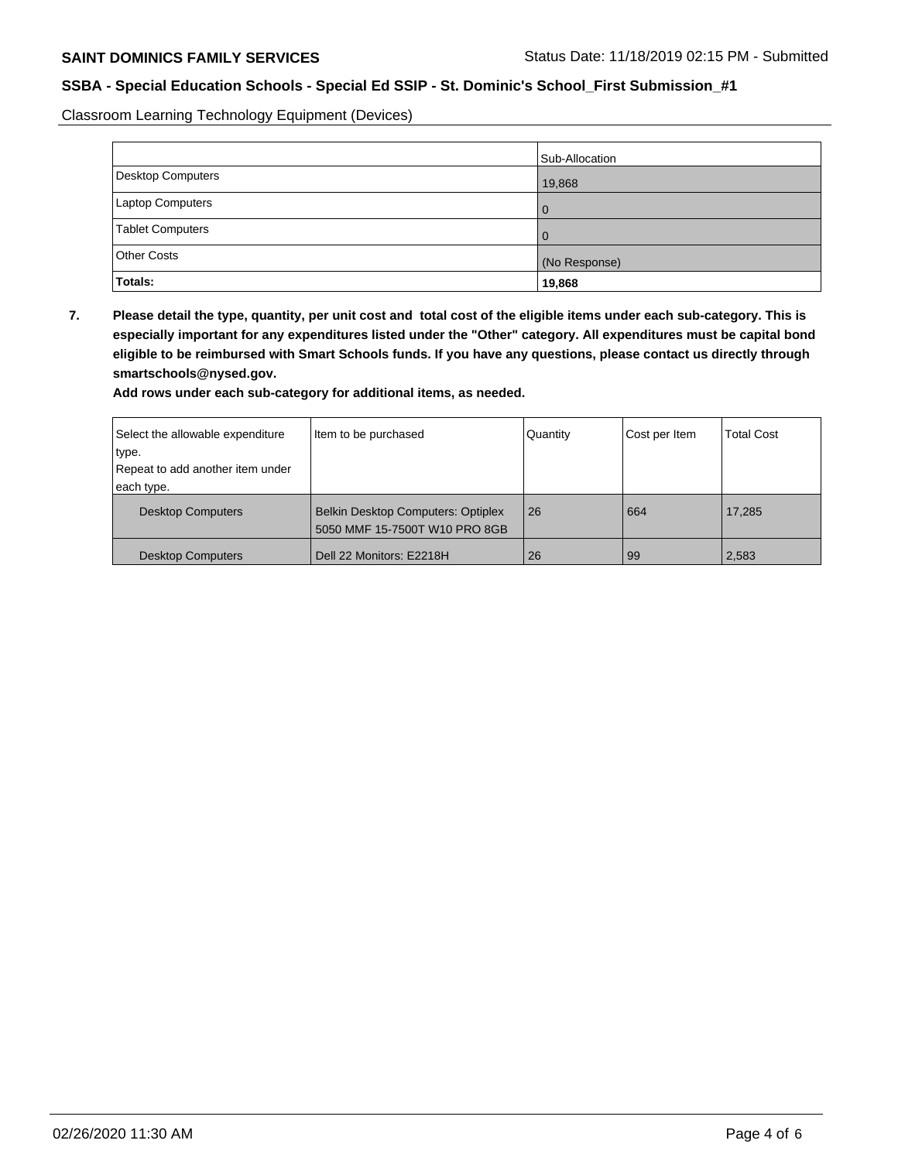Classroom Learning Technology Equipment (Devices)

|                         | Sub-Allocation |
|-------------------------|----------------|
| Desktop Computers       | 19,868         |
| Laptop Computers        | l 0            |
| <b>Tablet Computers</b> | l 0            |
| <b>Other Costs</b>      | (No Response)  |
| <b>Totals:</b>          | 19,868         |

**7. Please detail the type, quantity, per unit cost and total cost of the eligible items under each sub-category. This is especially important for any expenditures listed under the "Other" category. All expenditures must be capital bond eligible to be reimbursed with Smart Schools funds. If you have any questions, please contact us directly through smartschools@nysed.gov.**

**Add rows under each sub-category for additional items, as needed.**

| Select the allowable expenditure | Item to be purchased                                                       | Quantity | Cost per Item | <b>Total Cost</b> |
|----------------------------------|----------------------------------------------------------------------------|----------|---------------|-------------------|
| type.                            |                                                                            |          |               |                   |
| Repeat to add another item under |                                                                            |          |               |                   |
| each type.                       |                                                                            |          |               |                   |
| <b>Desktop Computers</b>         | <b>Belkin Desktop Computers: Optiplex</b><br>5050 MMF 15-7500T W10 PRO 8GB | 26       | 664           | 17,285            |
| <b>Desktop Computers</b>         | Dell 22 Monitors: E2218H                                                   | 26       | 99            | 2,583             |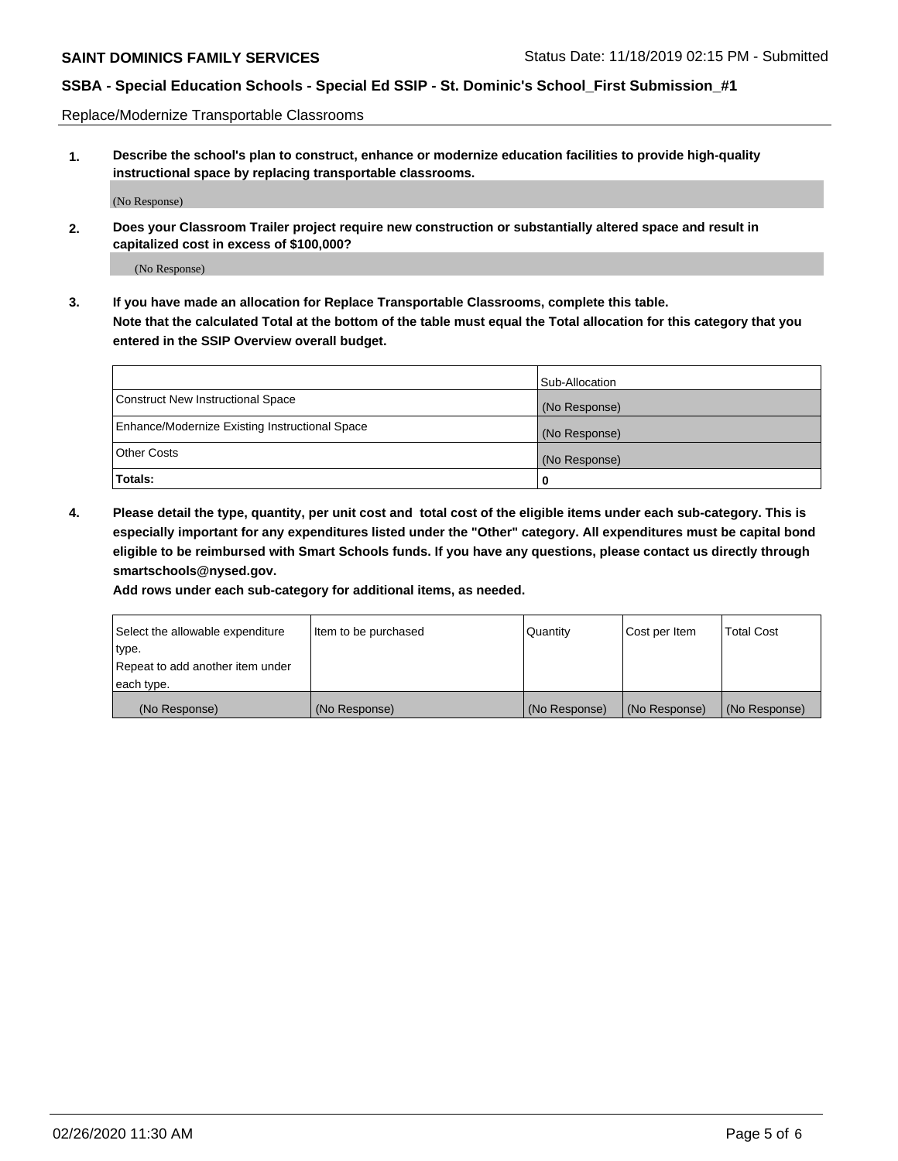Replace/Modernize Transportable Classrooms

**1. Describe the school's plan to construct, enhance or modernize education facilities to provide high-quality instructional space by replacing transportable classrooms.**

(No Response)

**2. Does your Classroom Trailer project require new construction or substantially altered space and result in capitalized cost in excess of \$100,000?**

(No Response)

**3. If you have made an allocation for Replace Transportable Classrooms, complete this table. Note that the calculated Total at the bottom of the table must equal the Total allocation for this category that you entered in the SSIP Overview overall budget.**

|                                                | Sub-Allocation |
|------------------------------------------------|----------------|
| Construct New Instructional Space              | (No Response)  |
| Enhance/Modernize Existing Instructional Space | (No Response)  |
| Other Costs                                    | (No Response)  |
| Totals:                                        | 0              |

**4. Please detail the type, quantity, per unit cost and total cost of the eligible items under each sub-category. This is especially important for any expenditures listed under the "Other" category. All expenditures must be capital bond eligible to be reimbursed with Smart Schools funds. If you have any questions, please contact us directly through smartschools@nysed.gov.**

**Add rows under each sub-category for additional items, as needed.**

| Select the allowable expenditure | lltem to be purchased | Quantity      | Cost per Item | <b>Total Cost</b> |
|----------------------------------|-----------------------|---------------|---------------|-------------------|
| type.                            |                       |               |               |                   |
| Repeat to add another item under |                       |               |               |                   |
| each type.                       |                       |               |               |                   |
| (No Response)                    | (No Response)         | (No Response) | (No Response) | (No Response)     |